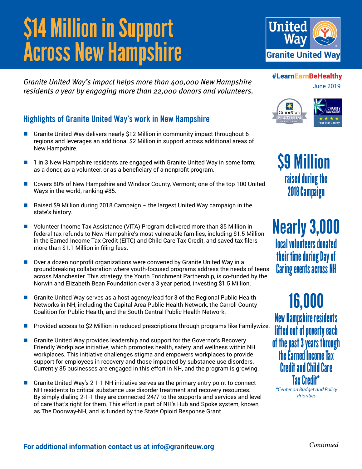# \$14 Million in Support **Across New Hampshire**

*Granite United Way's impact helps more than 400,000 New Hampshire residents a year by engaging more than 22,000 donors and volunteers.*

### **Highlights of Granite United Way's work in New Hampshire**

- n Granite United Way delivers nearly \$12 Million in community impact throughout 6 regions and leverages an additional \$2 Million in support across additional areas of New Hampshire.
- 1 in 3 New Hampshire residents are engaged with Granite United Way in some form; as a donor, as a volunteer, or as a beneficiary of a nonprofit program.
- Covers 80% of New Hampshire and Windsor County, Vermont; one of the top 100 United Ways in the world, ranking #85.
- Raised \$9 Million during 2018 Campaign  $\sim$  the largest United Way campaign in the state's history.
- n Volunteer Income Tax Assistance (VITA) Program delivered more than \$5 Million in federal tax refunds to New Hampshire's most vulnerable families, including \$1.5 Million in the Earned Income Tax Credit (EITC) and Child Care Tax Credit, and saved tax filers more than \$1.1 Million in filing fees.
- $\Box$  Over a dozen nonprofit organizations were convened by Granite United Way in a groundbreaking collaboration where youth-focused programs address the needs of teens across Manchester. This strategy, the Youth Enrichment Partnership, is co-funded by the Norwin and Elizabeth Bean Foundation over a 3 year period, investing \$1.5 Million.
- Granite United Way serves as a host agency/lead for 3 of the Regional Public Health Networks in NH, including the Capital Area Public Health Network, the Carroll County Coalition for Public Health, and the South Central Public Health Network.
- Provided access to \$2 Million in reduced prescriptions through programs like Familywize.
- n Granite United Way provides leadership and support for the Governor's Recovery Friendly Workplace initiative, which promotes health, safety, and wellness within NH workplaces. This initiative challenges stigma and empowers workplaces to provide support for employees in recovery and those impacted by substance use disorders. Currently 85 businesses are engaged in this effort in NH, and the program is growing.
- n Granite United Way's 2-1-1 NH initiative serves as the primary entry point to connect NH residents to critical substance use disorder treatment and recovery resources. By simply dialing 2-1-1 they are connected 24/7 to the supports and services and level of care that's right for them. This effort is part of NH's Hub and Spoke system, known as The Doorway-NH, and is funded by the State Opioid Response Grant.



#### #LearnEarnBeHealthy

June 2019



\$9 Million raised during the 2018 Campaign

Nearly 3,000 local volunteers donated their time during Day of Caring events across NH

16,000 New Hampshire residents lifted out of poverty each of the past 3 years through the Earned Income Tax Credit and Child Care Tax Credit\*

*\*Center on Budget and Policy Priorities*

*Continued*